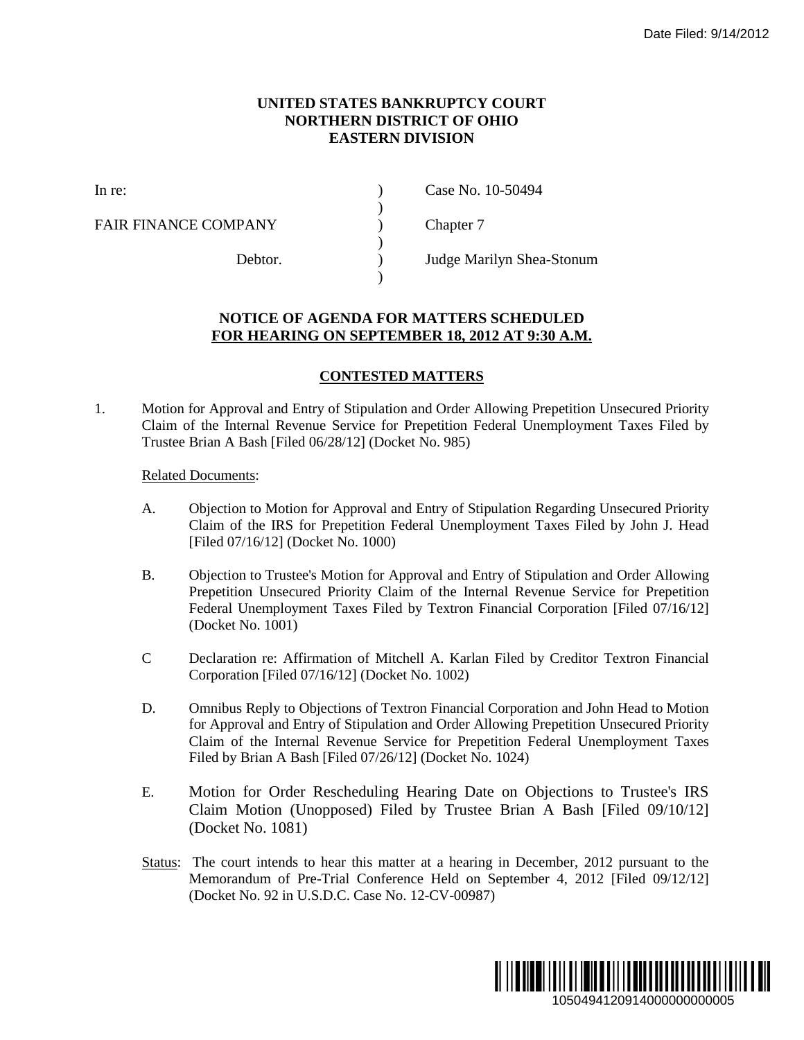## **UNITED STATES BANKRUPTCY COURT NORTHERN DISTRICT OF OHIO EASTERN DIVISION**

)

 $\lambda$ 

)

FAIR FINANCE COMPANY (and  $\Gamma$ ) Chapter 7

In re: (a) Case No. 10-50494

Debtor. ) Judge Marilyn Shea-Stonum

## **NOTICE OF AGENDA FOR MATTERS SCHEDULED FOR HEARING ON SEPTEMBER 18, 2012 AT 9:30 A.M.**

## **CONTESTED MATTERS**

1. Motion for Approval and Entry of Stipulation and Order Allowing Prepetition Unsecured Priority Claim of the Internal Revenue Service for Prepetition Federal Unemployment Taxes Filed by Trustee Brian A Bash [Filed 06/28/12] (Docket No. 985)

## Related Documents:

- A. Objection to Motion for Approval and Entry of Stipulation Regarding Unsecured Priority Claim of the IRS for Prepetition Federal Unemployment Taxes Filed by John J. Head [Filed 07/16/12] (Docket No. 1000)
- B. Objection to Trustee's Motion for Approval and Entry of Stipulation and Order Allowing Prepetition Unsecured Priority Claim of the Internal Revenue Service for Prepetition Federal Unemployment Taxes Filed by Textron Financial Corporation [Filed 07/16/12] (Docket No. 1001)
- C Declaration re: Affirmation of Mitchell A. Karlan Filed by Creditor Textron Financial Corporation [Filed 07/16/12] (Docket No. 1002)
- D. Omnibus Reply to Objections of Textron Financial Corporation and John Head to Motion for Approval and Entry of Stipulation and Order Allowing Prepetition Unsecured Priority Claim of the Internal Revenue Service for Prepetition Federal Unemployment Taxes Filed by Brian A Bash [Filed 07/26/12] (Docket No. 1024)
- E. Motion for Order Rescheduling Hearing Date on Objections to Trustee's IRS Claim Motion (Unopposed) Filed by Trustee Brian A Bash [Filed 09/10/12] (Docket No. 1081)
- Status: The court intends to hear this matter at a hearing in December, 2012 pursuant to the Memorandum of Pre-Trial Conference Held on September 4, 2012 [Filed 09/12/12] (Docket No. 92 in U.S.D.C. Case No. 12-CV-00987)